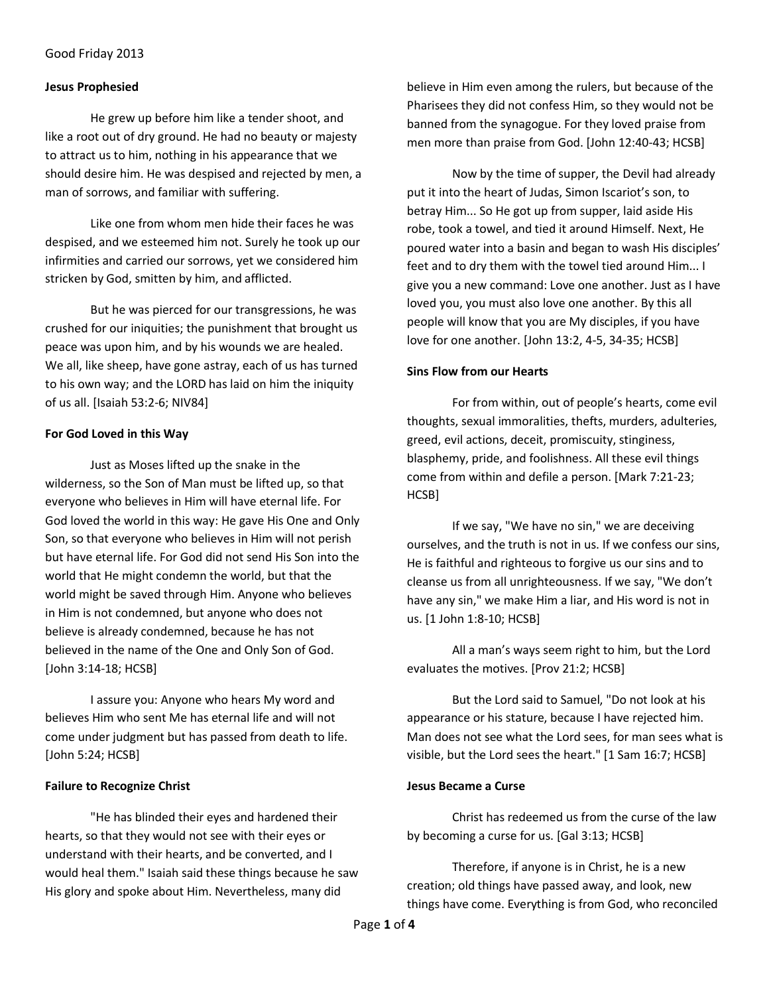### **Jesus Prophesied**

He grew up before him like a tender shoot, and like a root out of dry ground. He had no beauty or majesty to attract us to him, nothing in his appearance that we should desire him. He was despised and rejected by men, a man of sorrows, and familiar with suffering.

Like one from whom men hide their faces he was despised, and we esteemed him not. Surely he took up our infirmities and carried our sorrows, yet we considered him stricken by God, smitten by him, and afflicted.

But he was pierced for our transgressions, he was crushed for our iniquities; the punishment that brought us peace was upon him, and by his wounds we are healed. We all, like sheep, have gone astray, each of us has turned to his own way; and the LORD has laid on him the iniquity of us all. [Isaiah 53:2-6; NIV84]

### **For God Loved in this Way**

Just as Moses lifted up the snake in the wilderness, so the Son of Man must be lifted up, so that everyone who believes in Him will have eternal life. For God loved the world in this way: He gave His One and Only Son, so that everyone who believes in Him will not perish but have eternal life. For God did not send His Son into the world that He might condemn the world, but that the world might be saved through Him. Anyone who believes in Him is not condemned, but anyone who does not believe is already condemned, because he has not believed in the name of the One and Only Son of God. [John 3:14-18; HCSB]

I assure you: Anyone who hears My word and believes Him who sent Me has eternal life and will not come under judgment but has passed from death to life. [John 5:24; HCSB]

#### **Failure to Recognize Christ**

"He has blinded their eyes and hardened their hearts, so that they would not see with their eyes or understand with their hearts, and be converted, and I would heal them." Isaiah said these things because he saw His glory and spoke about Him. Nevertheless, many did

believe in Him even among the rulers, but because of the Pharisees they did not confess Him, so they would not be banned from the synagogue. For they loved praise from men more than praise from God. [John 12:40-43; HCSB]

Now by the time of supper, the Devil had already put it into the heart of Judas, Simon Iscariot's son, to betray Him... So He got up from supper, laid aside His robe, took a towel, and tied it around Himself. Next, He poured water into a basin and began to wash His disciples' feet and to dry them with the towel tied around Him... I give you a new command: Love one another. Just as I have loved you, you must also love one another. By this all people will know that you are My disciples, if you have love for one another. [John 13:2, 4-5, 34-35; HCSB]

### **Sins Flow from our Hearts**

For from within, out of people's hearts, come evil thoughts, sexual immoralities, thefts, murders, adulteries, greed, evil actions, deceit, promiscuity, stinginess, blasphemy, pride, and foolishness. All these evil things come from within and defile a person. [Mark 7:21-23; HCSB]

If we say, "We have no sin," we are deceiving ourselves, and the truth is not in us. If we confess our sins, He is faithful and righteous to forgive us our sins and to cleanse us from all unrighteousness. If we say, "We don't have any sin," we make Him a liar, and His word is not in us. [1 John 1:8-10; HCSB]

All a man's ways seem right to him, but the Lord evaluates the motives. [Prov 21:2; HCSB]

But the Lord said to Samuel, "Do not look at his appearance or his stature, because I have rejected him. Man does not see what the Lord sees, for man sees what is visible, but the Lord sees the heart." [1 Sam 16:7; HCSB]

# **Jesus Became a Curse**

Christ has redeemed us from the curse of the law by becoming a curse for us. [Gal 3:13; HCSB]

Therefore, if anyone is in Christ, he is a new creation; old things have passed away, and look, new things have come. Everything is from God, who reconciled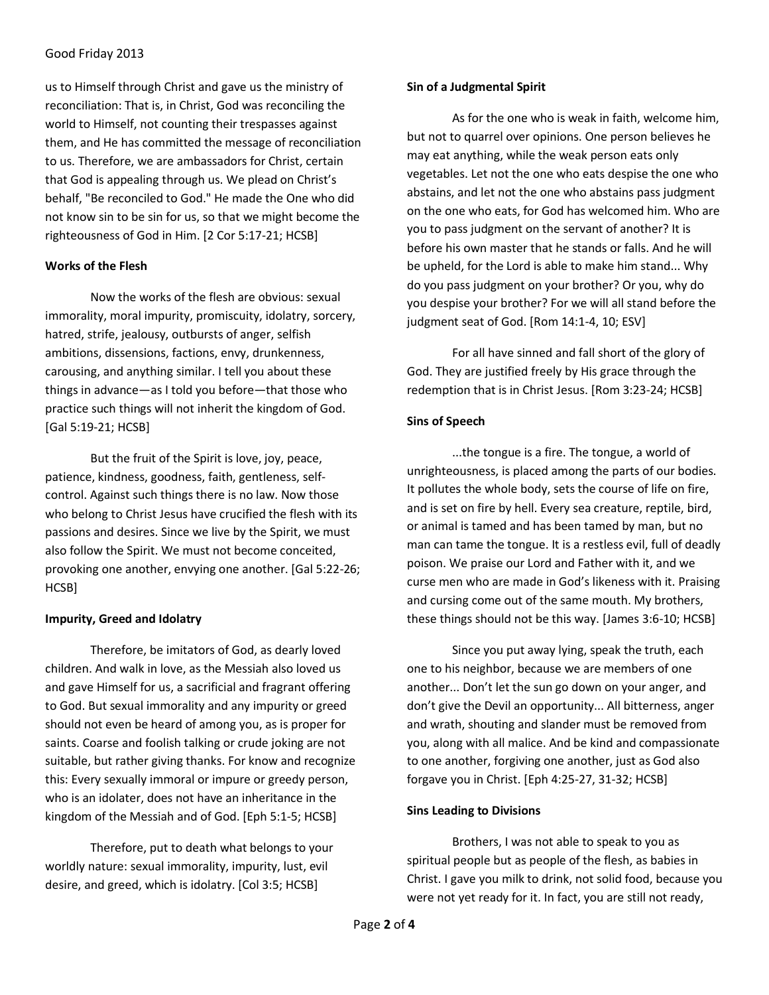# Good Friday 2013

us to Himself through Christ and gave us the ministry of reconciliation: That is, in Christ, God was reconciling the world to Himself, not counting their trespasses against them, and He has committed the message of reconciliation to us. Therefore, we are ambassadors for Christ, certain that God is appealing through us. We plead on Christ's behalf, "Be reconciled to God." He made the One who did not know sin to be sin for us, so that we might become the righteousness of God in Him. [2 Cor 5:17-21; HCSB]

# **Works of the Flesh**

Now the works of the flesh are obvious: sexual immorality, moral impurity, promiscuity, idolatry, sorcery, hatred, strife, jealousy, outbursts of anger, selfish ambitions, dissensions, factions, envy, drunkenness, carousing, and anything similar. I tell you about these things in advance—as I told you before—that those who practice such things will not inherit the kingdom of God. [Gal 5:19-21; HCSB]

But the fruit of the Spirit is love, joy, peace, patience, kindness, goodness, faith, gentleness, selfcontrol. Against such things there is no law. Now those who belong to Christ Jesus have crucified the flesh with its passions and desires. Since we live by the Spirit, we must also follow the Spirit. We must not become conceited, provoking one another, envying one another. [Gal 5:22-26; HCSB]

# **Impurity, Greed and Idolatry**

Therefore, be imitators of God, as dearly loved children. And walk in love, as the Messiah also loved us and gave Himself for us, a sacrificial and fragrant offering to God. But sexual immorality and any impurity or greed should not even be heard of among you, as is proper for saints. Coarse and foolish talking or crude joking are not suitable, but rather giving thanks. For know and recognize this: Every sexually immoral or impure or greedy person, who is an idolater, does not have an inheritance in the kingdom of the Messiah and of God. [Eph 5:1-5; HCSB]

Therefore, put to death what belongs to your worldly nature: sexual immorality, impurity, lust, evil desire, and greed, which is idolatry. [Col 3:5; HCSB]

# **Sin of a Judgmental Spirit**

As for the one who is weak in faith, welcome him, but not to quarrel over opinions. One person believes he may eat anything, while the weak person eats only vegetables. Let not the one who eats despise the one who abstains, and let not the one who abstains pass judgment on the one who eats, for God has welcomed him. Who are you to pass judgment on the servant of another? It is before his own master that he stands or falls. And he will be upheld, for the Lord is able to make him stand... Why do you pass judgment on your brother? Or you, why do you despise your brother? For we will all stand before the judgment seat of God. [Rom 14:1-4, 10; ESV]

For all have sinned and fall short of the glory of God. They are justified freely by His grace through the redemption that is in Christ Jesus. [Rom 3:23-24; HCSB]

# **Sins of Speech**

...the tongue is a fire. The tongue, a world of unrighteousness, is placed among the parts of our bodies. It pollutes the whole body, sets the course of life on fire, and is set on fire by hell. Every sea creature, reptile, bird, or animal is tamed and has been tamed by man, but no man can tame the tongue. It is a restless evil, full of deadly poison. We praise our Lord and Father with it, and we curse men who are made in God's likeness with it. Praising and cursing come out of the same mouth. My brothers, these things should not be this way. [James 3:6-10; HCSB]

Since you put away lying, speak the truth, each one to his neighbor, because we are members of one another... Don't let the sun go down on your anger, and don't give the Devil an opportunity... All bitterness, anger and wrath, shouting and slander must be removed from you, along with all malice. And be kind and compassionate to one another, forgiving one another, just as God also forgave you in Christ. [Eph 4:25-27, 31-32; HCSB]

# **Sins Leading to Divisions**

Brothers, I was not able to speak to you as spiritual people but as people of the flesh, as babies in Christ. I gave you milk to drink, not solid food, because you were not yet ready for it. In fact, you are still not ready,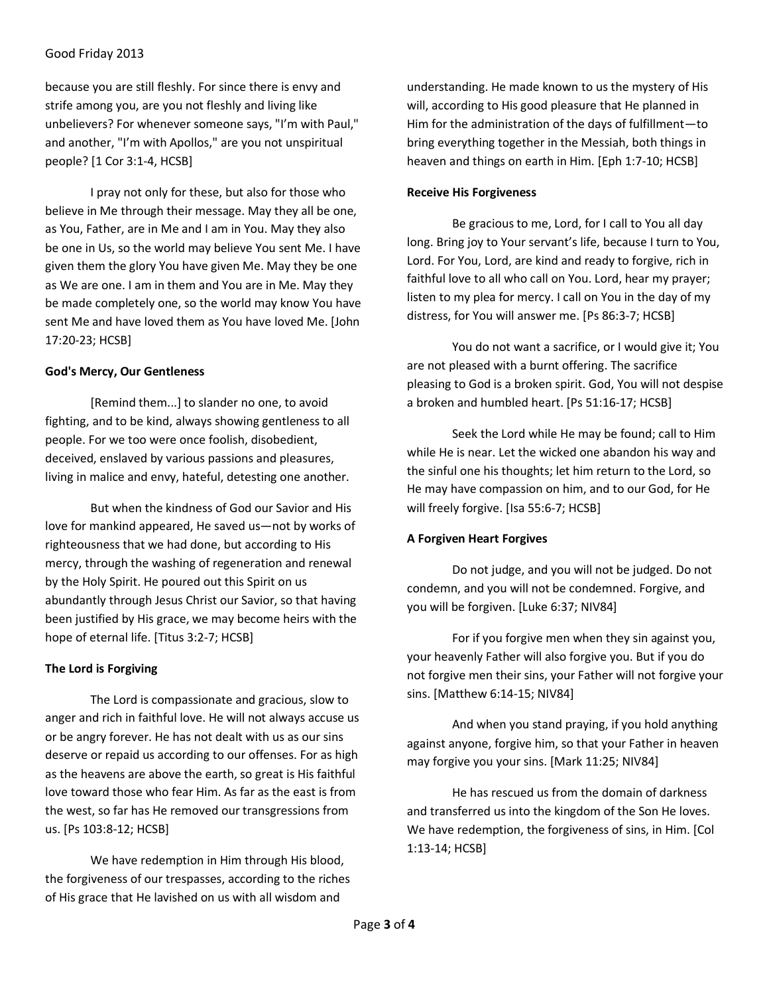# Good Friday 2013

because you are still fleshly. For since there is envy and strife among you, are you not fleshly and living like unbelievers? For whenever someone says, "I'm with Paul," and another, "I'm with Apollos," are you not unspiritual people? [1 Cor 3:1-4, HCSB]

I pray not only for these, but also for those who believe in Me through their message. May they all be one, as You, Father, are in Me and I am in You. May they also be one in Us, so the world may believe You sent Me. I have given them the glory You have given Me. May they be one as We are one. I am in them and You are in Me. May they be made completely one, so the world may know You have sent Me and have loved them as You have loved Me. [John 17:20-23; HCSB]

### **God's Mercy, Our Gentleness**

[Remind them...] to slander no one, to avoid fighting, and to be kind, always showing gentleness to all people. For we too were once foolish, disobedient, deceived, enslaved by various passions and pleasures, living in malice and envy, hateful, detesting one another.

But when the kindness of God our Savior and His love for mankind appeared, He saved us—not by works of righteousness that we had done, but according to His mercy, through the washing of regeneration and renewal by the Holy Spirit. He poured out this Spirit on us abundantly through Jesus Christ our Savior, so that having been justified by His grace, we may become heirs with the hope of eternal life. [Titus 3:2-7; HCSB]

#### **The Lord is Forgiving**

The Lord is compassionate and gracious, slow to anger and rich in faithful love. He will not always accuse us or be angry forever. He has not dealt with us as our sins deserve or repaid us according to our offenses. For as high as the heavens are above the earth, so great is His faithful love toward those who fear Him. As far as the east is from the west, so far has He removed our transgressions from us. [Ps 103:8-12; HCSB]

We have redemption in Him through His blood, the forgiveness of our trespasses, according to the riches of His grace that He lavished on us with all wisdom and

understanding. He made known to us the mystery of His will, according to His good pleasure that He planned in Him for the administration of the days of fulfillment—to bring everything together in the Messiah, both things in heaven and things on earth in Him. [Eph 1:7-10; HCSB]

#### **Receive His Forgiveness**

Be gracious to me, Lord, for I call to You all day long. Bring joy to Your servant's life, because I turn to You, Lord. For You, Lord, are kind and ready to forgive, rich in faithful love to all who call on You. Lord, hear my prayer; listen to my plea for mercy. I call on You in the day of my distress, for You will answer me. [Ps 86:3-7; HCSB]

You do not want a sacrifice, or I would give it; You are not pleased with a burnt offering. The sacrifice pleasing to God is a broken spirit. God, You will not despise a broken and humbled heart. [Ps 51:16-17; HCSB]

Seek the Lord while He may be found; call to Him while He is near. Let the wicked one abandon his way and the sinful one his thoughts; let him return to the Lord, so He may have compassion on him, and to our God, for He will freely forgive. [Isa 55:6-7; HCSB]

# **A Forgiven Heart Forgives**

Do not judge, and you will not be judged. Do not condemn, and you will not be condemned. Forgive, and you will be forgiven. [Luke 6:37; NIV84]

For if you forgive men when they sin against you, your heavenly Father will also forgive you. But if you do not forgive men their sins, your Father will not forgive your sins. [Matthew 6:14-15; NIV84]

And when you stand praying, if you hold anything against anyone, forgive him, so that your Father in heaven may forgive you your sins. [Mark 11:25; NIV84]

He has rescued us from the domain of darkness and transferred us into the kingdom of the Son He loves. We have redemption, the forgiveness of sins, in Him. [Col 1:13-14; HCSB]